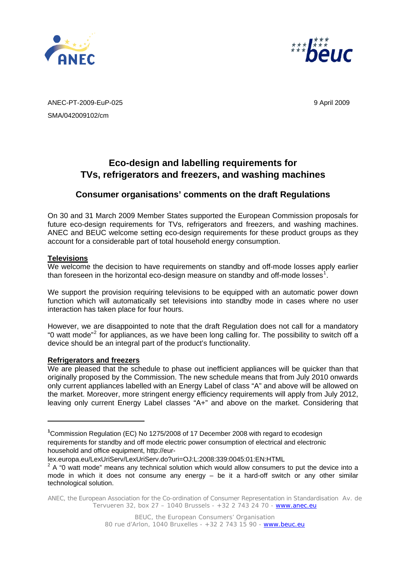



ANEC-PT-2009-EuP-025 9 April 2009 SMA/042009102/cm

# **Eco-design and labelling requirements for TVs, refrigerators and freezers, and washing machines**

# **Consumer organisations' comments on the draft Regulations**

On 30 and 31 March 2009 Member States supported the European Commission proposals for future eco-design requirements for TVs, refrigerators and freezers, and washing machines. ANEC and BEUC welcome setting eco-design requirements for these product groups as they account for a considerable part of total household energy consumption.

## **Televisions**

 $\overline{a}$ 

We welcome the decision to have requirements on standby and off-mode losses apply earlier than foreseen in the horizontal eco-design measure on standby and off-mode losses<sup>[1](#page-0-0)</sup>.

We support the provision requiring televisions to be equipped with an automatic power down function which will automatically set televisions into standby mode in cases where no user interaction has taken place for four hours.

However, we are disappointed to note that the draft Regulation does not call for a mandatory "0 watt mode"<sup>[2](#page-0-1)</sup> for appliances, as we have been long calling for. The possibility to switch off a device should be an integral part of the product's functionality.

### **Refrigerators and freezers**

We are pleased that the schedule to phase out inefficient appliances will be quicker than that originally proposed by the Commission. The new schedule means that from July 2010 onwards only current appliances labelled with an Energy Label of class "A" and above will be allowed on the market. Moreover, more stringent energy efficiency requirements will apply from July 2012, leaving only current Energy Label classes "A+" and above on the market. Considering that

<span id="page-0-0"></span>**<sup>1</sup>** Commission Regulation (EC) No 1275/2008 of 17 December 2008 with regard to ecodesign requirements for standby and off mode electric power consumption of electrical and electronic household and office equipment, http://eur-

lex.europa.eu/LexUriServ/LexUriServ.do?uri=OJ:L:2008:339:0045:01:EN:HTML

<span id="page-0-1"></span> $2$  A "0 watt mode" means any technical solution which would allow consumers to put the device into a mode in which it does not consume any energy – be it a hard-off switch or any other similar technological solution.

ANEC, the European Association for the Co-ordination of Consumer Representation in Standardisation Av. de Tervueren 32, box 27 - 1040 Brussels - +32 2 743 24 70 - www.anec.eu